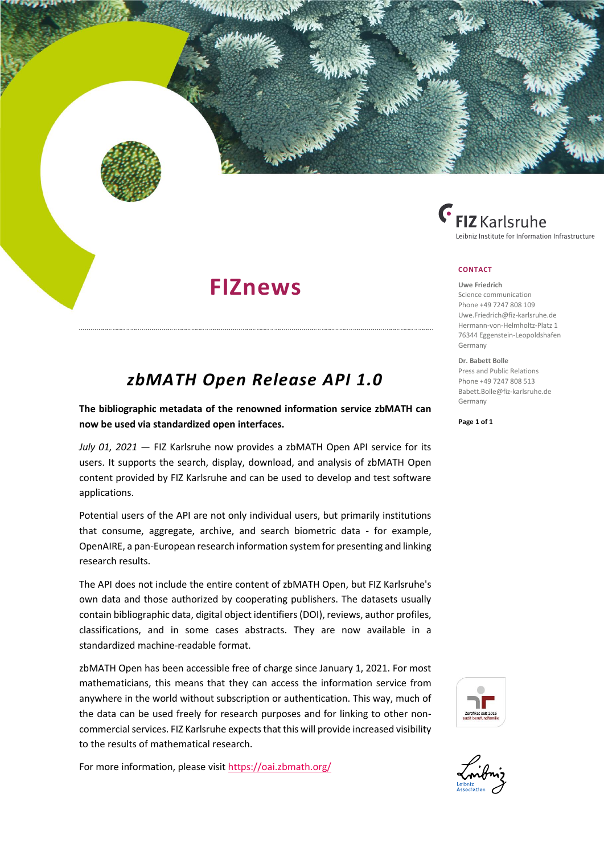



## **CONTACT**

### **Uwe Friedrich**

Science communication Phone +49 7247 808 109 [Uwe.Friedrich@fiz-karlsruhe.de](mailto:Uwe.Friedrich@fiz-karlsruhe.de) Hermann-von-Helmholtz-Platz 1 76344 Eggenstein-Leopoldshafen Germany

#### **Dr. Babett Bolle**

Press and Public Relations Phone +49 7247 808 513 [Babett.Bolle@fiz-karlsruhe.de](mailto:Babett.Bolle@fiz-karlsruhe.de) Germany

**Page 1 of 1**

# *zbMATH Open Release API 1.0*

**FIZnews**

**The bibliographic metadata of the renowned information service zbMATH can now be used via standardized open interfaces.**

*July 01, 2021* — FIZ Karlsruhe now provides a zbMATH Open API service for its users. It supports the search, display, download, and analysis of zbMATH Open content provided by FIZ Karlsruhe and can be used to develop and test software applications.

Potential users of the API are not only individual users, but primarily institutions that consume, aggregate, archive, and search biometric data - for example, OpenAIRE, a pan-European research information system for presenting and linking research results.

The API does not include the entire content of zbMATH Open, but FIZ Karlsruhe's own data and those authorized by cooperating publishers. The datasets usually contain bibliographic data, digital object identifiers (DOI), reviews, author profiles, classifications, and in some cases abstracts. They are now available in a standardized machine-readable format.

zbMATH Open has been accessible free of charge since January 1, 2021. For most mathematicians, this means that they can access the information service from anywhere in the world without subscription or authentication. This way, much of the data can be used freely for research purposes and for linking to other noncommercial services. FIZ Karlsruhe expects that this will provide increased visibility to the results of mathematical research.

For more information, please visi[t https://oai.zbmath.org/](https://oai.zbmath.org/)